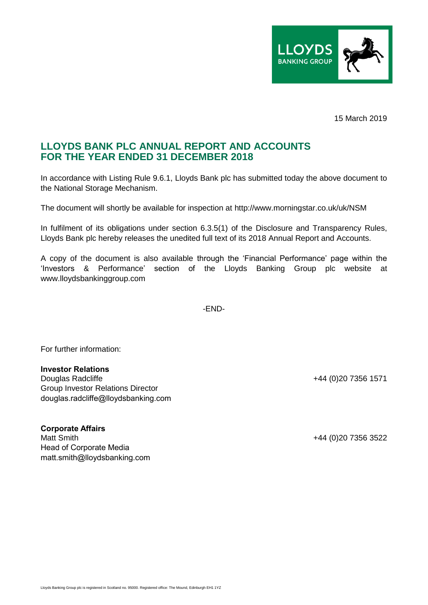

15 March 2019

## **LLOYDS BANK PLC ANNUAL REPORT AND ACCOUNTS FOR THE YEAR ENDED 31 DECEMBER 2018**

In accordance with Listing Rule 9.6.1, Lloyds Bank plc has submitted today the above document to the National Storage Mechanism.

The document will shortly be available for inspection at http://www.morningstar.co.uk/uk/NSM

In fulfilment of its obligations under section 6.3.5(1) of the Disclosure and Transparency Rules, Lloyds Bank plc hereby releases the unedited full text of its 2018 Annual Report and Accounts.

A copy of the document is also available through the 'Financial Performance' page within the 'Investors & Performance' section of the Lloyds Banking Group plc website at www.lloydsbankinggroup.com

-END-

For further information:

## **Investor Relations**

Douglas Radcliffe +44 (0)20 7356 1571 Group Investor Relations Director douglas.radcliffe@lloydsbanking.com

**Corporate Affairs** Matt Smith +44 (0)20 7356 3522 Head of Corporate Media matt.smith@lloydsbanking.com